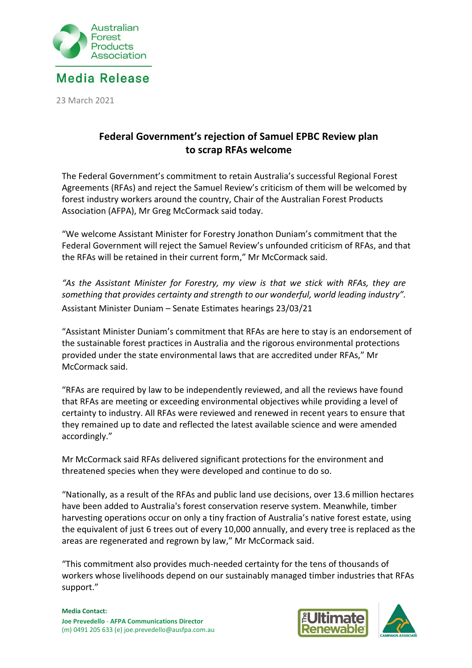

23 March 2021

## **Federal Government's rejection of Samuel EPBC Review plan to scrap RFAs welcome**

The Federal Government's commitment to retain Australia's successful Regional Forest Agreements (RFAs) and reject the Samuel Review's criticism of them will be welcomed by forest industry workers around the country, Chair of the Australian Forest Products Association (AFPA), Mr Greg McCormack said today.

"We welcome Assistant Minister for Forestry Jonathon Duniam's commitment that the Federal Government will reject the Samuel Review's unfounded criticism of RFAs, and that the RFAs will be retained in their current form," Mr McCormack said.

*"As the Assistant Minister for Forestry, my view is that we stick with RFAs, they are something that provides certainty and strength to our wonderful, world leading industry".* Assistant Minister Duniam – Senate Estimates hearings 23/03/21

"Assistant Minister Duniam's commitment that RFAs are here to stay is an endorsement of the sustainable forest practices in Australia and the rigorous environmental protections provided under the state environmental laws that are accredited under RFAs," Mr McCormack said.

"RFAs are required by law to be independently reviewed, and all the reviews have found that RFAs are meeting or exceeding environmental objectives while providing a level of certainty to industry. All RFAs were reviewed and renewed in recent years to ensure that they remained up to date and reflected the latest available science and were amended accordingly."

Mr McCormack said RFAs delivered significant protections for the environment and threatened species when they were developed and continue to do so.

"Nationally, as a result of the RFAs and public land use decisions, over 13.6 million hectares have been added to Australia's forest conservation reserve system. Meanwhile, timber harvesting operations occur on only a tiny fraction of Australia's native forest estate, using the equivalent of just 6 trees out of every 10,000 annually, and every tree is replaced as the areas are regenerated and regrown by law," Mr McCormack said.

"This commitment also provides much-needed certainty for the tens of thousands of workers whose livelihoods depend on our sustainably managed timber industries that RFAs support."